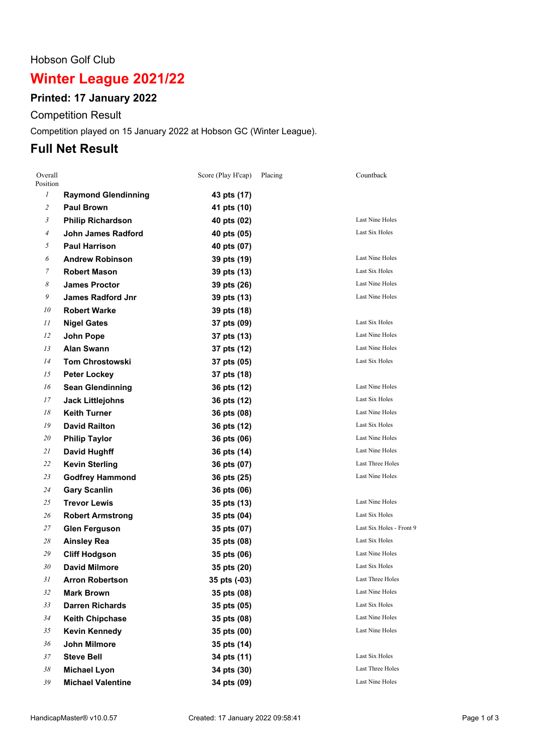#### Hobson Golf Club

# **Winter League 2021/22**

## **Printed: 17 January 2022**

Competition Result

Competition played on 15 January 2022 at Hobson GC (Winter League).

## **Full Net Result**

| Overall<br>Position |                            | Score (Play H'cap) | Placing | Countback                |
|---------------------|----------------------------|--------------------|---------|--------------------------|
| $\mathfrak{I}$      | <b>Raymond Glendinning</b> | 43 pts (17)        |         |                          |
| $\overline{c}$      | <b>Paul Brown</b>          | 41 pts (10)        |         |                          |
| $\mathfrak{Z}$      | <b>Philip Richardson</b>   | 40 pts (02)        |         | Last Nine Holes          |
| $\overline{A}$      | <b>John James Radford</b>  | 40 pts (05)        |         | Last Six Holes           |
| 5                   | <b>Paul Harrison</b>       | 40 pts (07)        |         |                          |
| 6                   | <b>Andrew Robinson</b>     | 39 pts (19)        |         | Last Nine Holes          |
| 7                   | <b>Robert Mason</b>        | 39 pts (13)        |         | Last Six Holes           |
| 8                   | <b>James Proctor</b>       | 39 pts (26)        |         | <b>Last Nine Holes</b>   |
| 9                   | <b>James Radford Jnr</b>   | 39 pts (13)        |         | Last Nine Holes          |
| 10                  | <b>Robert Warke</b>        | 39 pts (18)        |         |                          |
| 11                  | <b>Nigel Gates</b>         | 37 pts (09)        |         | Last Six Holes           |
| 12                  | John Pope                  | 37 pts (13)        |         | Last Nine Holes          |
| 13                  | <b>Alan Swann</b>          | 37 pts (12)        |         | Last Nine Holes          |
| 14                  | <b>Tom Chrostowski</b>     | 37 pts (05)        |         | Last Six Holes           |
| 15                  | <b>Peter Lockey</b>        | 37 pts (18)        |         |                          |
| 16                  | <b>Sean Glendinning</b>    | 36 pts (12)        |         | Last Nine Holes          |
| 17                  | <b>Jack Littlejohns</b>    | 36 pts (12)        |         | Last Six Holes           |
| 18                  | <b>Keith Turner</b>        | 36 pts (08)        |         | Last Nine Holes          |
| 19                  | <b>David Railton</b>       | 36 pts (12)        |         | Last Six Holes           |
| 20                  | <b>Philip Taylor</b>       | 36 pts (06)        |         | Last Nine Holes          |
| 21                  | <b>David Hughff</b>        | 36 pts (14)        |         | Last Nine Holes          |
| 22                  | <b>Kevin Sterling</b>      | 36 pts (07)        |         | Last Three Holes         |
| 23                  | <b>Godfrey Hammond</b>     | 36 pts (25)        |         | Last Nine Holes          |
| 24                  | <b>Gary Scanlin</b>        | 36 pts (06)        |         |                          |
| 25                  | <b>Trevor Lewis</b>        | 35 pts (13)        |         | Last Nine Holes          |
| 26                  | <b>Robert Armstrong</b>    | 35 pts (04)        |         | Last Six Holes           |
| 27                  | <b>Glen Ferguson</b>       | 35 pts (07)        |         | Last Six Holes - Front 9 |
| 28                  | <b>Ainsley Rea</b>         | 35 pts (08)        |         | Last Six Holes           |
| 29                  | <b>Cliff Hodgson</b>       | 35 pts (06)        |         | Last Nine Holes          |
| 30                  | David Milmore              | 35 pts (20)        |         | Last Six Holes           |
| 31                  | <b>Arron Robertson</b>     | 35 pts (-03)       |         | Last Three Holes         |
| 32                  | <b>Mark Brown</b>          | 35 pts (08)        |         | Last Nine Holes          |
| 33                  | <b>Darren Richards</b>     | 35 pts (05)        |         | Last Six Holes           |
| 34                  | <b>Keith Chipchase</b>     | 35 pts (08)        |         | <b>Last Nine Holes</b>   |
| 35                  | <b>Kevin Kennedy</b>       | 35 pts (00)        |         | Last Nine Holes          |
| 36                  | John Milmore               | 35 pts (14)        |         |                          |
| 37                  | <b>Steve Bell</b>          | 34 pts (11)        |         | Last Six Holes           |
| 38                  | <b>Michael Lyon</b>        | 34 pts (30)        |         | <b>Last Three Holes</b>  |
| 39                  | <b>Michael Valentine</b>   | 34 pts (09)        |         | Last Nine Holes          |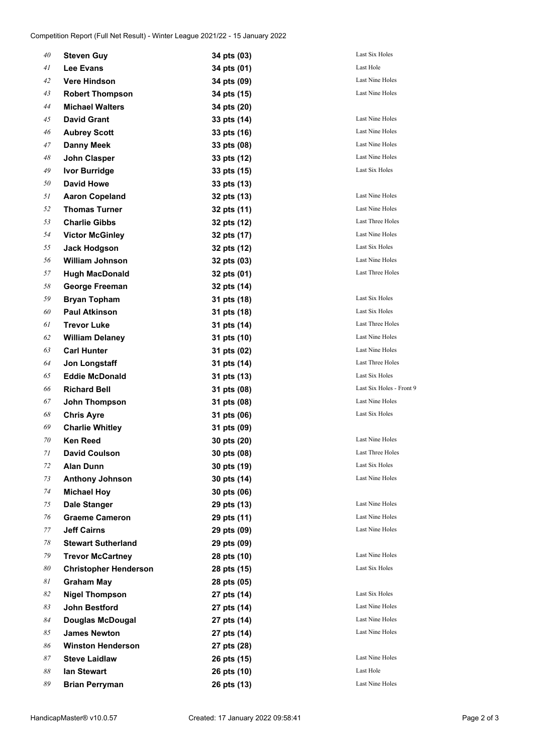| 40 | <b>Steven Guy</b>            | 34 pts (03) | Last Six Holes           |
|----|------------------------------|-------------|--------------------------|
| 41 | <b>Lee Evans</b>             | 34 pts (01) | Last Hole                |
| 42 | <b>Vere Hindson</b>          | 34 pts (09) | Last Nine Holes          |
| 43 | <b>Robert Thompson</b>       | 34 pts (15) | <b>Last Nine Holes</b>   |
| 44 | <b>Michael Walters</b>       | 34 pts (20) |                          |
| 45 | <b>David Grant</b>           | 33 pts (14) | <b>Last Nine Holes</b>   |
| 46 | <b>Aubrey Scott</b>          | 33 pts (16) | Last Nine Holes          |
| 47 | <b>Danny Meek</b>            | 33 pts (08) | <b>Last Nine Holes</b>   |
| 48 | John Clasper                 | 33 pts (12) | Last Nine Holes          |
| 49 | <b>Ivor Burridge</b>         | 33 pts (15) | Last Six Holes           |
| 50 | <b>David Howe</b>            | 33 pts (13) |                          |
| 51 | <b>Aaron Copeland</b>        | 32 pts (13) | Last Nine Holes          |
| 52 | <b>Thomas Turner</b>         | 32 pts (11) | <b>Last Nine Holes</b>   |
| 53 | <b>Charlie Gibbs</b>         | 32 pts (12) | <b>Last Three Holes</b>  |
| 54 | <b>Victor McGinley</b>       | 32 pts (17) | <b>Last Nine Holes</b>   |
| 55 | <b>Jack Hodgson</b>          | 32 pts (12) | Last Six Holes           |
| 56 | <b>William Johnson</b>       | 32 pts (03) | Last Nine Holes          |
| 57 | <b>Hugh MacDonald</b>        | 32 pts (01) | Last Three Holes         |
| 58 | <b>George Freeman</b>        | 32 pts (14) |                          |
| 59 | <b>Bryan Topham</b>          | 31 pts (18) | Last Six Holes           |
| 60 | <b>Paul Atkinson</b>         | 31 pts (18) | Last Six Holes           |
| 61 | <b>Trevor Luke</b>           | 31 pts (14) | Last Three Holes         |
| 62 | <b>William Delaney</b>       | 31 pts (10) | Last Nine Holes          |
| 63 | <b>Carl Hunter</b>           | 31 pts (02) | <b>Last Nine Holes</b>   |
| 64 | Jon Longstaff                | 31 pts (14) | Last Three Holes         |
| 65 | <b>Eddie McDonald</b>        | 31 pts (13) | Last Six Holes           |
| 66 | <b>Richard Bell</b>          | 31 pts (08) | Last Six Holes - Front 9 |
| 67 | John Thompson                | 31 pts (08) | <b>Last Nine Holes</b>   |
| 68 | <b>Chris Ayre</b>            | 31 pts (06) | Last Six Holes           |
| 69 | <b>Charlie Whitley</b>       | 31 pts (09) |                          |
| 70 | <b>Ken Reed</b>              | 30 pts (20) | Last Nine Holes          |
| 71 | <b>David Coulson</b>         | 30 pts (08) | Last Three Holes         |
| 72 | <b>Alan Dunn</b>             | 30 pts (19) | Last Six Holes           |
| 73 | <b>Anthony Johnson</b>       | 30 pts (14) | Last Nine Holes          |
| 74 | <b>Michael Hoy</b>           | 30 pts (06) |                          |
| 75 | Dale Stanger                 | 29 pts (13) | Last Nine Holes          |
| 76 | <b>Graeme Cameron</b>        | 29 pts (11) | <b>Last Nine Holes</b>   |
| 77 | <b>Jeff Cairns</b>           | 29 pts (09) | Last Nine Holes          |
| 78 | <b>Stewart Sutherland</b>    | 29 pts (09) |                          |
| 79 | <b>Trevor McCartney</b>      | 28 pts (10) | Last Nine Holes          |
| 80 | <b>Christopher Henderson</b> | 28 pts (15) | Last Six Holes           |
| 81 | <b>Graham May</b>            | 28 pts (05) |                          |
| 82 | <b>Nigel Thompson</b>        | 27 pts (14) | Last Six Holes           |
| 83 | John Bestford                | 27 pts (14) | Last Nine Holes          |
| 84 | <b>Douglas McDougal</b>      | 27 pts (14) | Last Nine Holes          |
| 85 | <b>James Newton</b>          | 27 pts (14) | Last Nine Holes          |
| 86 | <b>Winston Henderson</b>     | 27 pts (28) |                          |
| 87 | <b>Steve Laidlaw</b>         | 26 pts (15) | Last Nine Holes          |
| 88 | lan Stewart                  | 26 pts (10) | Last Hole                |
| 89 | <b>Brian Perryman</b>        | 26 pts (13) | Last Nine Holes          |
|    |                              |             |                          |